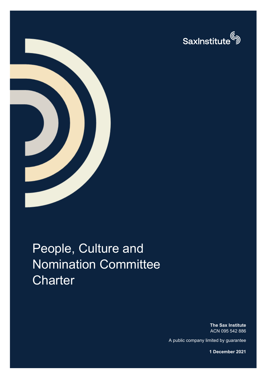



# People, Culture and Nomination Committee **Charter**

**The Sax Institute** ACN 095 542 886

A public company limited by guarantee

**1 December 2021**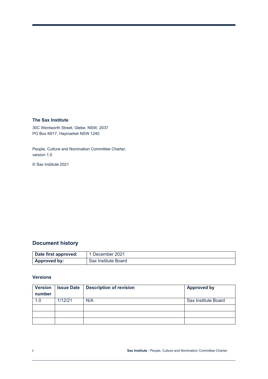#### **The Sax Institute**

30C Wentworth Street, Glebe, NSW, 2037 PO Box K617, Haymarket NSW 1240

People, Culture and Nomination Committee Charter, version 1.0

© Sax Institute 2021

#### **Document history**

| Date first approved: | 1 December 2021     |
|----------------------|---------------------|
| Approved by:         | Sax Institute Board |

#### **Versions**

| <b>Version</b> | <b>Issue Date</b> | <b>Description of revision</b> | <b>Approved by</b>  |
|----------------|-------------------|--------------------------------|---------------------|
| number         |                   |                                |                     |
| 1.0            | 1/12/21           | N/A                            | Sax Institute Board |
|                |                   |                                |                     |
|                |                   |                                |                     |
|                |                   |                                |                     |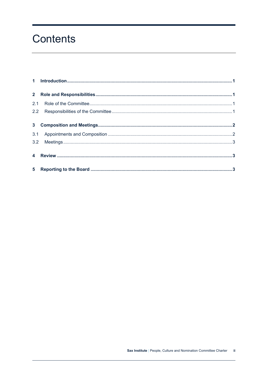## Contents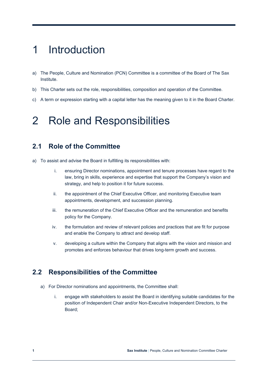## <span id="page-3-0"></span>1 Introduction

- a) The People, Culture and Nomination (PCN) Committee is a committee of the Board of The Sax Institute.
- b) This Charter sets out the role, responsibilities, composition and operation of the Committee.
- c) A term or expression starting with a capital letter has the meaning given to it in the Board Charter.

### <span id="page-3-1"></span>2 Role and Responsibilities

### <span id="page-3-2"></span>**2.1 Role of the Committee**

- a) To assist and advise the Board in fulfilling its responsibilities with:
	- i. ensuring Director nominations, appointment and tenure processes have regard to the law, bring in skills, experience and expertise that support the Company's vision and strategy, and help to position it for future success.
	- ii. the appointment of the Chief Executive Officer, and monitoring Executive team appointments, development, and succession planning.
	- iii. the remuneration of the Chief Executive Officer and the remuneration and benefits policy for the Company.
	- iv. the formulation and review of relevant policies and practices that are fit for purpose and enable the Company to attract and develop staff.
	- v. developing a culture within the Company that aligns with the vision and mission and promotes and enforces behaviour that drives long-term growth and success.

### <span id="page-3-3"></span>**2.2 Responsibilities of the Committee**

- a) For Director nominations and appointments, the Committee shall:
	- i. engage with stakeholders to assist the Board in identifying suitable candidates for the position of Independent Chair and/or Non-Executive Independent Directors, to the Board;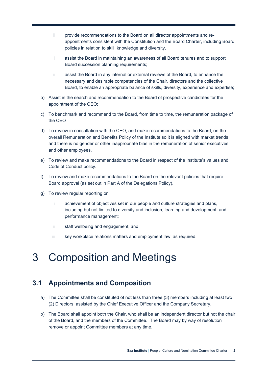- ii. provide recommendations to the Board on all director appointments and reappointments consistent with the Constitution and the Board Charter, including Board policies in relation to skill, knowledge and diversity.
- i. assist the Board in maintaining an awareness of all Board tenures and to support Board succession planning requirements;
- ii. assist the Board in any internal or external reviews of the Board, to enhance the necessary and desirable competencies of the Chair, directors and the collective Board, to enable an appropriate balance of skills, diversity, experience and expertise;
- b) Assist in the search and recommendation to the Board of prospective candidates for the appointment of the CEO;
- c) To benchmark and recommend to the Board, from time to time, the remuneration package of the CEO
- d) To review in consultation with the CEO, and make recommendations to the Board, on the overall Remuneration and Benefits Policy of the Institute so it is aligned with market trends and there is no gender or other inappropriate bias in the remuneration of senior executives and other employees.
- e) To review and make recommendations to the Board in respect of the Institute's values and Code of Conduct policy.
- f) To review and make recommendations to the Board on the relevant policies that require Board approval (as set out in Part A of the Delegations Policy).
- g) To review regular reporting on
	- i. achievement of objectives set in our people and culture strategies and plans, including but not limited to diversity and inclusion, learning and development, and performance management;
	- ii. staff wellbeing and engagement; and
	- iii. key workplace relations matters and employment law, as required.

## <span id="page-4-0"></span>3 Composition and Meetings

### <span id="page-4-1"></span>**3.1 Appointments and Composition**

- a) The Committee shall be constituted of not less than three (3) members including at least two (2) Directors, assisted by the Chief Executive Officer and the Company Secretary.
- b) The Board shall appoint both the Chair, who shall be an independent director but not the chair of the Board, and the members of the Committee. The Board may by way of resolution remove or appoint Committee members at any time.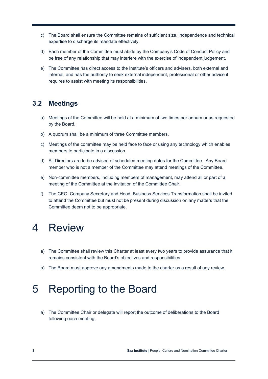- c) The Board shall ensure the Committee remains of sufficient size, independence and technical expertise to discharge its mandate effectively.
- d) Each member of the Committee must abide by the Company's Code of Conduct Policy and be free of any relationship that may interfere with the exercise of independent judgement.
- e) The Committee has direct access to the Institute's officers and advisers, both external and internal, and has the authority to seek external independent, professional or other advice it requires to assist with meeting its responsibilities.

#### <span id="page-5-0"></span>**3.2 Meetings**

- a) Meetings of the Committee will be held at a minimum of two times per annum or as requested by the Board.
- b) A quorum shall be a minimum of three Committee members.
- c) Meetings of the committee may be held face to face or using any technology which enables members to participate in a discussion.
- d) All Directors are to be advised of scheduled meeting dates for the Committee. Any Board member who is not a member of the Committee may attend meetings of the Committee.
- e) Non-committee members, including members of management, may attend all or part of a meeting of the Committee at the invitation of the Committee Chair.
- f) The CEO, Company Secretary and Head, Business Services Transformation shall be invited to attend the Committee but must not be present during discussion on any matters that the Committee deem not to be appropriate.

### <span id="page-5-1"></span>4 Review

- a) The Committee shall review this Charter at least every two years to provide assurance that it remains consistent with the Board's objectives and responsibilities
- b) The Board must approve any amendments made to the charter as a result of any review.

### <span id="page-5-2"></span>5 Reporting to the Board

a) The Committee Chair or delegate will report the outcome of deliberations to the Board following each meeting.